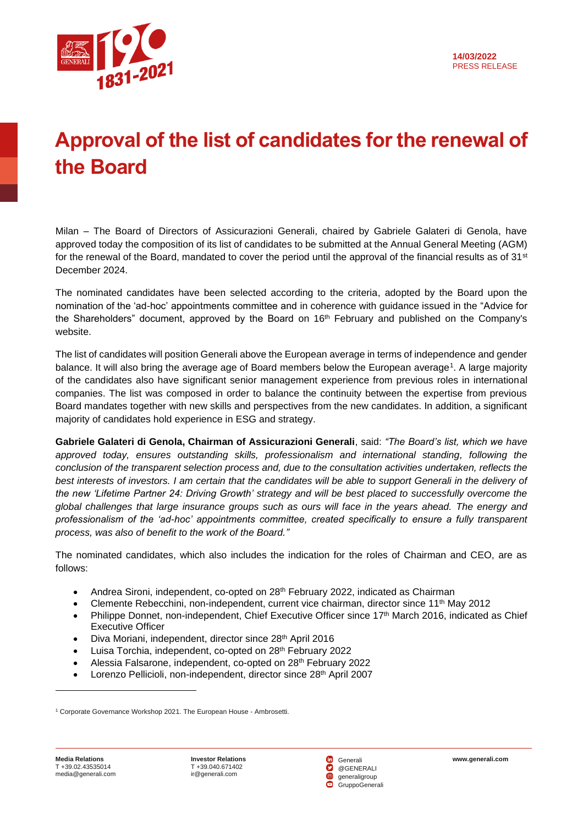

## **Approval of the list of candidates for the renewal of the Board**

Milan – The Board of Directors of Assicurazioni Generali, chaired by Gabriele Galateri di Genola, have approved today the composition of its list of candidates to be submitted at the Annual General Meeting (AGM) for the renewal of the Board, mandated to cover the period until the approval of the financial results as of 31<sup>st</sup> December 2024.

The nominated candidates have been selected according to the criteria, adopted by the Board upon the nomination of the 'ad-hoc' appointments committee and in coherence with guidance issued in the "Advice for the Shareholders" document, approved by the Board on 16th February and published on the Company's website.

The list of candidates will position Generali above the European average in terms of independence and gender balance. It will also bring the average age of Board members below the European average<sup>1</sup>. A large majority of the candidates also have significant senior management experience from previous roles in international companies. The list was composed in order to balance the continuity between the expertise from previous Board mandates together with new skills and perspectives from the new candidates. In addition, a significant majority of candidates hold experience in ESG and strategy.

**Gabriele Galateri di Genola, Chairman of Assicurazioni Generali**, said: *"The Board's list, which we have approved today, ensures outstanding skills, professionalism and international standing, following the conclusion of the transparent selection process and, due to the consultation activities undertaken, reflects the best interests of investors. I am certain that the candidates will be able to support Generali in the delivery of the new 'Lifetime Partner 24: Driving Growth' strategy and will be best placed to successfully overcome the global challenges that large insurance groups such as ours will face in the years ahead. The energy and professionalism of the 'ad-hoc' appointments committee, created specifically to ensure a fully transparent process, was also of benefit to the work of the Board."*

The nominated candidates, which also includes the indication for the roles of Chairman and CEO, are as follows:

- Andrea Sironi, independent, co-opted on 28<sup>th</sup> February 2022, indicated as Chairman
- Clemente Rebecchini, non-independent, current vice chairman, director since 11th May 2012
- Philippe Donnet, non-independent, Chief Executive Officer since 17<sup>th</sup> March 2016, indicated as Chief Executive Officer
- Diva Moriani, independent, director since 28<sup>th</sup> April 2016
- Luisa Torchia, independent, co-opted on 28<sup>th</sup> February 2022
- Alessia Falsarone, independent, co-opted on 28th February 2022
- Lorenzo Pellicioli, non-independent, director since 28<sup>th</sup> April 2007

<sup>1</sup> Corporate Governance Workshop 2021. The European House - Ambrosetti.